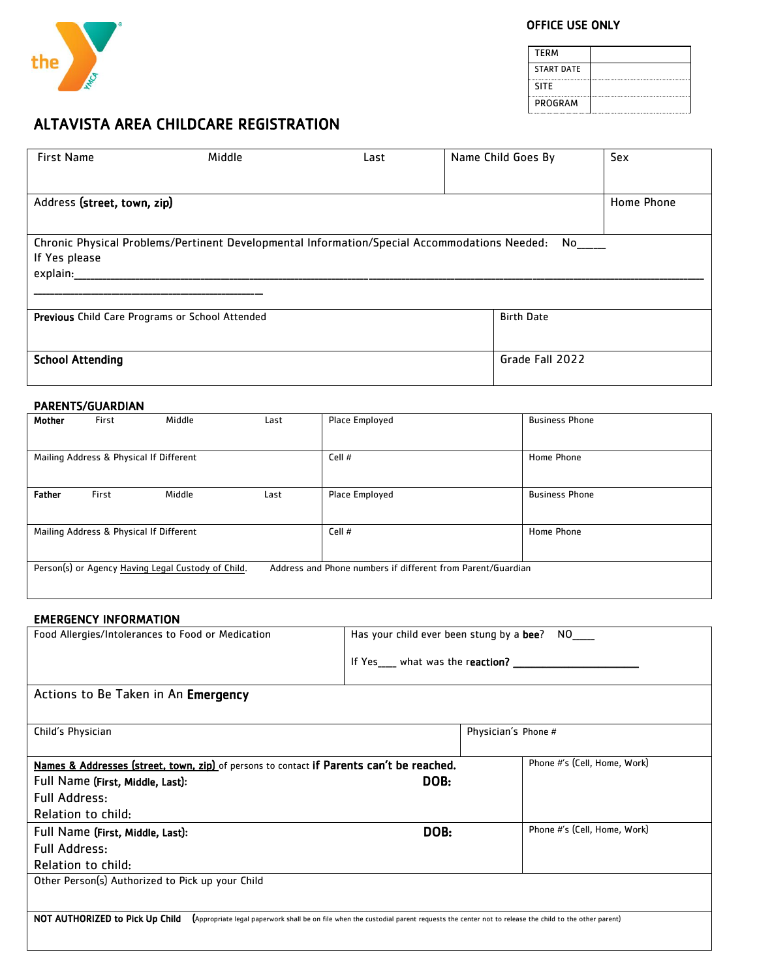

# OFFICE USE ONLY

| <b>TFRM</b>       |  |
|-------------------|--|
| <b>START DATE</b> |  |
| <b>SITF</b>       |  |
| PROGRAM           |  |

# ALTAVISTA AREA CHILDCARE REGISTRATION

| <b>First Name</b>                                                                                                         | Middle | Last | Name Child Goes By | Sex        |  |  |  |
|---------------------------------------------------------------------------------------------------------------------------|--------|------|--------------------|------------|--|--|--|
| Address (street, town, zip)                                                                                               |        |      |                    | Home Phone |  |  |  |
| Chronic Physical Problems/Pertinent Developmental Information/Special Accommodations Needed:<br>If Yes please<br>explain: |        |      |                    |            |  |  |  |
| Previous Child Care Programs or School Attended                                                                           |        |      | <b>Birth Date</b>  |            |  |  |  |
| <b>School Attending</b>                                                                                                   |        |      | Grade Fall 2022    |            |  |  |  |

## PARENTS/GUARDIAN

| Mother                                                                                                            | First | Middle                                  | Last | Place Employed | <b>Business Phone</b> |
|-------------------------------------------------------------------------------------------------------------------|-------|-----------------------------------------|------|----------------|-----------------------|
|                                                                                                                   |       |                                         |      |                |                       |
|                                                                                                                   |       | Mailing Address & Physical If Different |      | Cell #         | Home Phone            |
| <b>Father</b>                                                                                                     | First | Middle                                  | Last | Place Employed | <b>Business Phone</b> |
|                                                                                                                   |       | Mailing Address & Physical If Different |      | Cell #         | Home Phone            |
| Person(s) or Agency Having Legal Custody of Child.<br>Address and Phone numbers if different from Parent/Guardian |       |                                         |      |                |                       |

## EMERGENCY INFORMATION

| Food Allergies/Intolerances to Food or Medication                                                                                                                            | Has your child ever been stung by a <b>bee</b> ?<br>NO DI |                     |                              |  |
|------------------------------------------------------------------------------------------------------------------------------------------------------------------------------|-----------------------------------------------------------|---------------------|------------------------------|--|
|                                                                                                                                                                              | If Yes ___ what was the reaction? _____                   |                     |                              |  |
| Actions to Be Taken in An Emergency                                                                                                                                          |                                                           |                     |                              |  |
|                                                                                                                                                                              |                                                           |                     |                              |  |
| Child's Physician                                                                                                                                                            |                                                           | Physician's Phone # |                              |  |
|                                                                                                                                                                              |                                                           |                     |                              |  |
| Phone #'s (Cell, Home, Work)<br>Names & Addresses (street, town, zip) of persons to contact if Parents can't be reached.                                                     |                                                           |                     |                              |  |
| Full Name (First, Middle, Last):                                                                                                                                             | DOB:                                                      |                     |                              |  |
| <b>Full Address:</b>                                                                                                                                                         |                                                           |                     |                              |  |
| Relation to child:                                                                                                                                                           |                                                           |                     |                              |  |
| Full Name (First, Middle, Last):                                                                                                                                             | DOB:                                                      |                     | Phone #'s (Cell, Home, Work) |  |
| <b>Full Address:</b>                                                                                                                                                         |                                                           |                     |                              |  |
| Relation to child:                                                                                                                                                           |                                                           |                     |                              |  |
| Other Person(s) Authorized to Pick up your Child                                                                                                                             |                                                           |                     |                              |  |
|                                                                                                                                                                              |                                                           |                     |                              |  |
| NOT AUTHORIZED to Pick Up Child<br>(Appropriate legal paperwork shall be on file when the custodial parent requests the center not to release the child to the other parent) |                                                           |                     |                              |  |
|                                                                                                                                                                              |                                                           |                     |                              |  |
|                                                                                                                                                                              |                                                           |                     |                              |  |